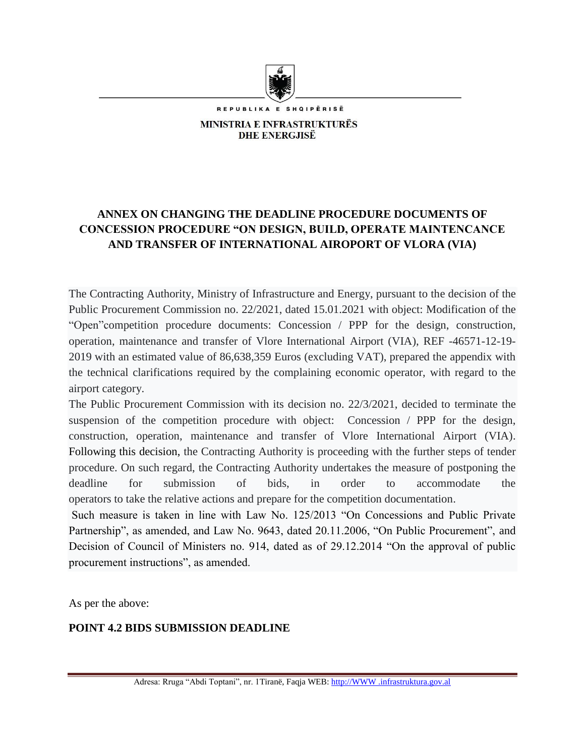

REPUBLIKA E SHQIPËRISË

**MINISTRIA E INFRASTRUKTURËS DHE ENERGJISË** 

# **ANNEX ON CHANGING THE DEADLINE PROCEDURE DOCUMENTS OF CONCESSION PROCEDURE "ON DESIGN, BUILD, OPERATE MAINTENCANCE AND TRANSFER OF INTERNATIONAL AIROPORT OF VLORA (VIA)**

The Contracting Authority, Ministry of Infrastructure and Energy, pursuant to the decision of the Public Procurement Commission no. 22/2021, dated 15.01.2021 with object: Modification of the "Open"competition procedure documents: Concession / PPP for the design, construction, operation, maintenance and transfer of Vlore International Airport (VIA), REF -46571-12-19- 2019 with an estimated value of 86,638,359 Euros (excluding VAT), prepared the appendix with the technical clarifications required by the complaining economic operator, with regard to the airport category.

The Public Procurement Commission with its decision no. 22/3/2021, decided to terminate the suspension of the competition procedure with object: Concession / PPP for the design, construction, operation, maintenance and transfer of Vlore International Airport (VIA). Following this decision, the Contracting Authority is proceeding with the further steps of tender procedure. On such regard, the Contracting Authority undertakes the measure of postponing the deadline for submission of bids, in order to accommodate the operators to take the relative actions and prepare for the competition documentation.

Such measure is taken in line with Law No. 125/2013 "On Concessions and Public Private Partnership", as amended, and Law No. 9643, dated 20.11.2006, "On Public Procurement", and Decision of Council of Ministers no. 914, dated as of 29.12.2014 "On the approval of public procurement instructions", as amended.

As per the above:

# **POINT 4.2 BIDS SUBMISSION DEADLINE**